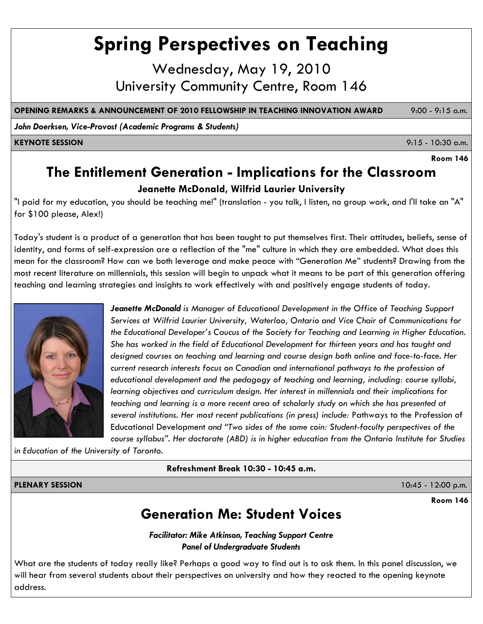# **Spring Perspectives on Teaching**

Wednesday, May 19, 2010 University Community Centre, Room 146

**OPENING REMARKS & ANNOUNCEMENT OF 2010 FELLOWSHIP IN TEACHING INNOVATION AWARD** 9:00 - 9:15 a.m.

*John Doerksen, Vice-Provost (Academic Programs & Students)*

**KEYNOTE SESSION** 9:15 - 10:30 a.m.

**Room 146**

### **The Entitlement Generation - Implications for the Classroom**

#### **Jeanette McDonald, Wilfrid Laurier University**

"I paid for my education, you should be teaching me!" (translation - you talk, I listen, no group work, and I'll take an "A" for \$100 please, Alex!)

Today's student is a product of a generation that has been taught to put themselves first. Their attitudes, beliefs, sense of identity, and forms of self-expression are a reflection of the "me" culture in which they are embedded. What does this mean for the classroom? How can we both leverage and make peace with "Generation Me" students? Drawing from the most recent literature on millennials, this session will begin to unpack what it means to be part of this generation offering teaching and learning strategies and insights to work effectively with and positively engage students of today.



*Jeanette McDonald is Manager of Educational Development in the Office of Teaching Support Services at Wilfrid Laurier University, Waterloo, Ontario and Vice Chair of Communications for the Educational Developer's Caucus of the Society for Teaching and Learning in Higher Education. She has worked in the field of Educational Development for thirteen years and has taught and designed courses on teaching and learning and course design both online and face-to-face. Her current research interests focus on Canadian and international pathways to the profession of educational development and the pedagogy of teaching and learning, including: course syllabi, learning objectives and curriculum design. Her interest in millennials and their implications for teaching and learning is a more recent area of scholarly study on which she has presented at several institutions. Her most recent publications (in press) include:* Pathways to the Profession of Educational Development *and "Two sides of the same coin: Student-faculty perspectives of the course syllabus". Her doctorate (ABD) is in higher education from the Ontario Institute for Studies* 

*in Education of the University of Toronto.*

**Refreshment Break 10:30 - 10:45 a.m.**

**PLENARY SESSION** 10:45 - 12:00 p.m.

**Room 146**

### **Generation Me: Student Voices**

*Facilitator: Mike Atkinson, Teaching Support Centre Panel of Undergraduate Students* 

What are the students of today really like? Perhaps a good way to find out is to ask them. In this panel discussion, we will hear from several students about their perspectives on university and how they reacted to the opening keynote address.